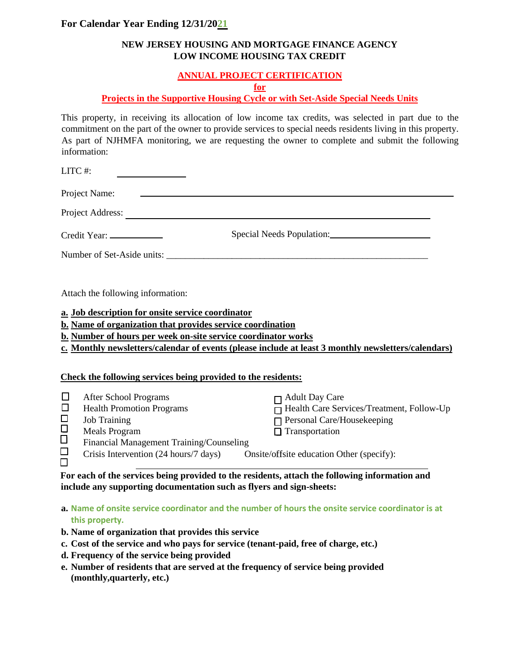## **For Calendar Year Ending 12/31/2021**

## **NEW JERSEY HOUSING AND MORTGAGE FINANCE AGENCY LOW INCOME HOUSING TAX CREDIT**

## **ANNUAL PROJECT CERTIFICATION**

**for**

## **Projects in the Supportive Housing Cycle or with Set-Aside Special Needs Units**

This property, in receiving its allocation of low income tax credits, was selected in part due to the commitment on the part of the owner to provide services to special needs residents living in this property. As part of NJHMFA monitoring, we are requesting the owner to complete and submit the following information:

| LITC#:                    |                                                                                                                 |                                                                                                     |
|---------------------------|-----------------------------------------------------------------------------------------------------------------|-----------------------------------------------------------------------------------------------------|
|                           | Project Name:                                                                                                   |                                                                                                     |
|                           |                                                                                                                 | Project Address:                                                                                    |
|                           | Credit Year: _______________                                                                                    |                                                                                                     |
|                           |                                                                                                                 |                                                                                                     |
|                           | Attach the following information:                                                                               |                                                                                                     |
|                           | a. Job description for onsite service coordinator<br>b. Name of organization that provides service coordination |                                                                                                     |
|                           | <b>b.</b> Number of hours per week on-site service coordinator works                                            |                                                                                                     |
|                           |                                                                                                                 | c. Monthly newsletters/calendar of events (please include at least 3 monthly newsletters/calendars) |
|                           |                                                                                                                 |                                                                                                     |
|                           | Check the following services being provided to the residents:                                                   |                                                                                                     |
| $\Box$<br>$\Box$          | After School Programs<br><b>Health Promotion Programs</b>                                                       | <b>Adult Day Care</b><br>Health Care Services/Treatment, Follow-Up                                  |
| 0<br>0<br>0               | <b>Job Training</b><br><b>Meals Program</b>                                                                     | Personal Care/Housekeeping<br>$\Box$ Transportation                                                 |
|                           | Financial Management Training/Counseling                                                                        |                                                                                                     |
| $\frac{\square}{\square}$ | Crisis Intervention (24 hours/7 days)                                                                           | Onsite/offsite education Other (specify):                                                           |

**For each of the services being provided to the residents, attach the following information and include any supporting documentation such as flyers and sign-sheets:** 

**a. Name of onsite service coordinator and the number of hours the onsite service coordinator is at this property.**

- **b. Name of organization that provides this service**
- **c. Cost of the service and who pays for service (tenant-paid, free of charge, etc.)**
- **d. Frequency of the service being provided**
- **e. Number of residents that are served at the frequency of service being provided (monthly,quarterly, etc.)**